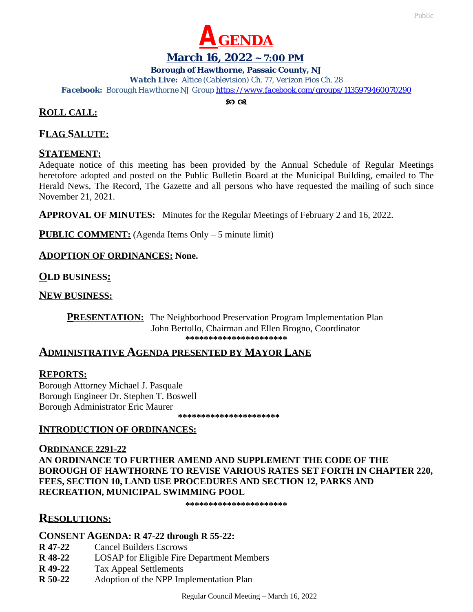

### **March 16, 2022 ~ 7:00 PM**

#### **Borough of Hawthorne, Passaic County, NJ**

*Watch Live: Altice (Cablevision) Ch. 77, Verizon Fios Ch. 28 Facebook: Borough Hawthorne NJ Group <https://www.facebook.com/groups/1135979460070290>*

 $\mathcal{D}$   $\alpha$ 

# **ROLL CALL:**

### **FLAG SALUTE:**

### **STATEMENT:**

Adequate notice of this meeting has been provided by the Annual Schedule of Regular Meetings heretofore adopted and posted on the Public Bulletin Board at the Municipal Building, emailed to The Herald News, The Record, The Gazette and all persons who have requested the mailing of such since November 21, 2021.

**APPROVAL OF MINUTES:** Minutes for the Regular Meetings of February 2 and 16, 2022.

**PUBLIC COMMENT:** (Agenda Items Only – 5 minute limit)

### **ADOPTION OF ORDINANCES: None.**

### **OLD BUSINESS:**

**NEW BUSINESS:**

**PRESENTATION:** The Neighborhood Preservation Program Implementation Plan John Bertollo, Chairman and Ellen Brogno, Coordinator **\*\*\*\*\*\*\*\*\*\*\*\*\*\*\*\*\*\*\*\*\*\***

# **ADMINISTRATIVE AGENDA PRESENTED BY MAYOR LANE**

### **REPORTS:**

Borough Attorney Michael J. Pasquale Borough Engineer Dr. Stephen T. Boswell Borough Administrator Eric Maurer

 **\*\*\*\*\*\*\*\*\*\*\*\*\*\*\*\*\*\*\*\*\*\***

### **INTRODUCTION OF ORDINANCES:**

**ORDINANCE 2291-22 AN ORDINANCE TO FURTHER AMEND AND SUPPLEMENT THE CODE OF THE BOROUGH OF HAWTHORNE TO REVISE VARIOUS RATES SET FORTH IN CHAPTER 220, FEES, SECTION 10, LAND USE PROCEDURES AND SECTION 12, PARKS AND RECREATION, MUNICIPAL SWIMMING POOL**

**\*\*\*\*\*\*\*\*\*\*\*\*\*\*\*\*\*\*\*\*\*\***

# **RESOLUTIONS:**

#### **CONSENT AGENDA: R 47-22 through R 55-22:**

- **R 47-22** Cancel Builders Escrows
- **R 48-22** LOSAP for Eligible Fire Department Members
- **R 49-22** Tax Appeal Settlements
- **R 50-22** Adoption of the NPP Implementation Plan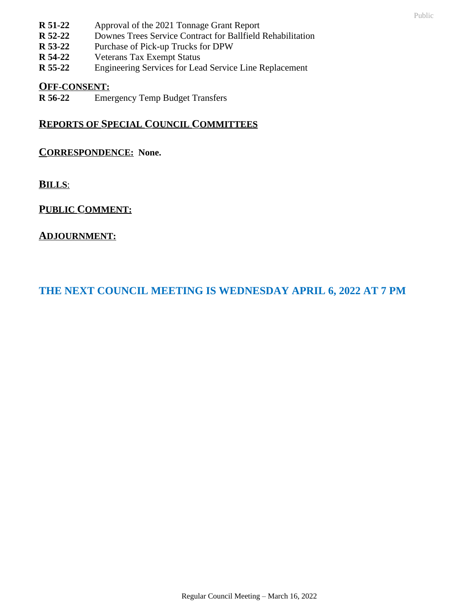- **R 51-22** Approval of the 2021 Tonnage Grant Report
- **R 52-22** Downes Trees Service Contract for Ballfield Rehabilitation
- **R 53-22** Purchase of Pick-up Trucks for DPW<br>**R 54-22** Veterans Tax Exempt Status
- **Veterans Tax Exempt Status**
- **R 55-22** Engineering Services for Lead Service Line Replacement

### **OFF-CONSENT:**

**R 56-22** Emergency Temp Budget Transfers

# **REPORTS OF SPECIAL COUNCIL COMMITTEES**

# **CORRESPONDENCE: None.**

**BILLS**:

# **PUBLIC COMMENT:**

# **ADJOURNMENT:**

# **THE NEXT COUNCIL MEETING IS WEDNESDAY APRIL 6, 2022 AT 7 PM**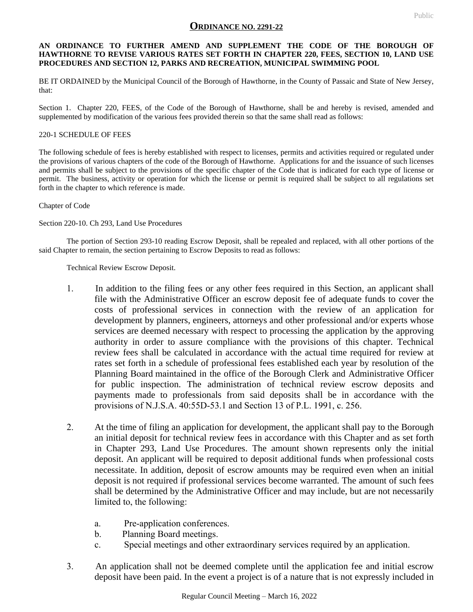#### **ORDINANCE NO. 2291-22**

#### **AN ORDINANCE TO FURTHER AMEND AND SUPPLEMENT THE CODE OF THE BOROUGH OF HAWTHORNE TO REVISE VARIOUS RATES SET FORTH IN CHAPTER 220, FEES, SECTION 10, LAND USE PROCEDURES AND SECTION 12, PARKS AND RECREATION, MUNICIPAL SWIMMING POOL**

BE IT ORDAINED by the Municipal Council of the Borough of Hawthorne, in the County of Passaic and State of New Jersey, that:

Section 1. Chapter 220, FEES, of the Code of the Borough of Hawthorne, shall be and hereby is revised, amended and supplemented by modification of the various fees provided therein so that the same shall read as follows:

#### 220-1 SCHEDULE OF FEES

The following schedule of fees is hereby established with respect to licenses, permits and activities required or regulated under the provisions of various chapters of the code of the Borough of Hawthorne. Applications for and the issuance of such licenses and permits shall be subject to the provisions of the specific chapter of the Code that is indicated for each type of license or permit. The business, activity or operation for which the license or permit is required shall be subject to all regulations set forth in the chapter to which reference is made.

Chapter of Code

Section 220-10. Ch 293, Land Use Procedures

The portion of Section 293-10 reading Escrow Deposit, shall be repealed and replaced, with all other portions of the said Chapter to remain, the section pertaining to Escrow Deposits to read as follows:

Technical Review Escrow Deposit.

- 1. In addition to the filing fees or any other fees required in this Section, an applicant shall file with the Administrative Officer an escrow deposit fee of adequate funds to cover the costs of professional services in connection with the review of an application for development by planners, engineers, attorneys and other professional and/or experts whose services are deemed necessary with respect to processing the application by the approving authority in order to assure compliance with the provisions of this chapter. Technical review fees shall be calculated in accordance with the actual time required for review at rates set forth in a schedule of professional fees established each year by resolution of the Planning Board maintained in the office of the Borough Clerk and Administrative Officer for public inspection. The administration of technical review escrow deposits and payments made to professionals from said deposits shall be in accordance with the provisions of N.J.S.A. 40:55D-53.1 and Section 13 of P.L. 1991, c. 256.
- 2. At the time of filing an application for development, the applicant shall pay to the Borough an initial deposit for technical review fees in accordance with this Chapter and as set forth in Chapter 293, Land Use Procedures. The amount shown represents only the initial deposit. An applicant will be required to deposit additional funds when professional costs necessitate. In addition, deposit of escrow amounts may be required even when an initial deposit is not required if professional services become warranted. The amount of such fees shall be determined by the Administrative Officer and may include, but are not necessarily limited to, the following:
	- a. Pre-application conferences.
	- b. Planning Board meetings.
	- c. Special meetings and other extraordinary services required by an application.
- 3. An application shall not be deemed complete until the application fee and initial escrow deposit have been paid. In the event a project is of a nature that is not expressly included in